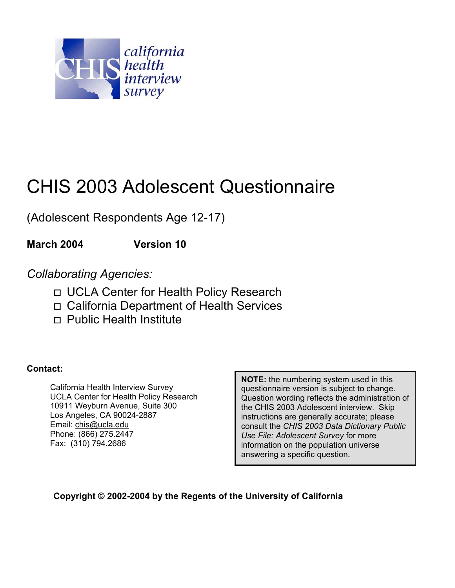

# CHIS 2003 Adolescent Questionnaire

(Adolescent Respondents Age 12-17)

**March 2004 Version 10** 

*Collaborating Agencies:* 

- UCLA Center for Health Policy Research
- California Department of Health Services
- Public Health Institute

**Contact:** 

California Health Interview Survey UCLA Center for Health Policy Research 10911 Weyburn Avenue, Suite 300 Los Angeles, CA 90024-2887 Email: chis@ucla.edu Phone: (866) 275.2447 Fax: (310) 794.2686

**NOTE:** the numbering system used in this questionnaire version is subject to change. Question wording reflects the administration of the CHIS 2003 Adolescent interview. Skip instructions are generally accurate; please consult the *CHIS 2003 Data Dictionary Public Use File: Adolescent Survey* for more information on the population universe answering a specific question.

**Copyright © 2002-2004 by the Regents of the University of California**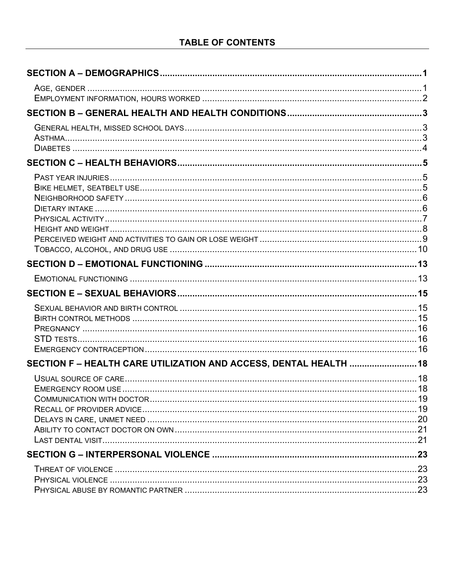| SECTION F-HEALTH CARE UTILIZATION AND ACCESS, DENTAL HEALTH  18 |  |
|-----------------------------------------------------------------|--|
|                                                                 |  |
|                                                                 |  |
|                                                                 |  |
|                                                                 |  |
|                                                                 |  |
|                                                                 |  |
|                                                                 |  |
|                                                                 |  |
|                                                                 |  |
|                                                                 |  |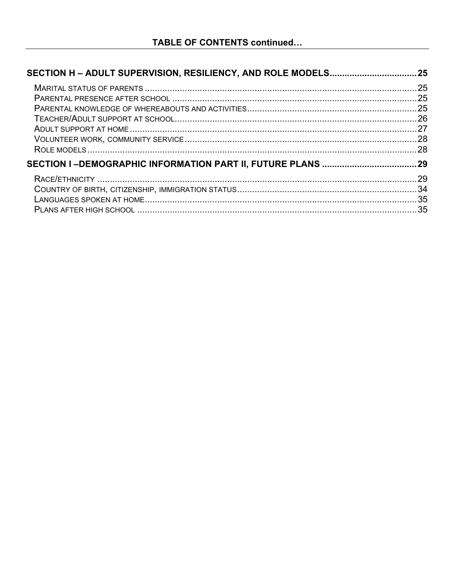| 25  |
|-----|
|     |
|     |
|     |
|     |
|     |
|     |
| .29 |
|     |
|     |
|     |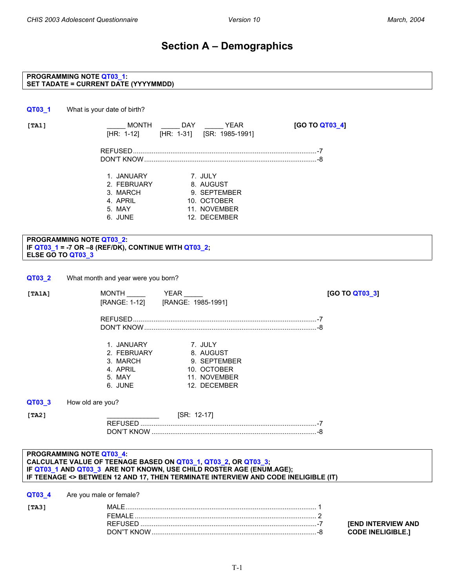### **Section A – Demographics**

#### <span id="page-3-0"></span>**PROGRAMMING NOTE QT03\_1: SET TADATE = CURRENT DATE (YYYYMMDD)**

**QT03\_1** What is your date of birth?

**[TA1]** \_\_\_\_\_ MONTH \_\_\_\_\_ DAY \_\_\_\_\_ YEAR **[GO TO QT03\_4]** [HR: 1-12] [HR: 1-31] [SR: 1985-1991] REFUSED..................................................................................................-7 DON'T KNOW............................................................................................-8

| 1. JANUARY  | 7. JULY      |
|-------------|--------------|
| 2. FEBRUARY | 8. AUGUST    |
| 3. MARCH    | 9. SEPTEMBER |
| 4. APRIL    | 10. OCTOBER  |
| 5. MAY      | 11. NOVEMBER |
| 6. JUNE     | 12. DECEMBER |

#### **PROGRAMMING NOTE QT03\_2: IF QT03\_1 = -7 OR –8 (REF/DK), CONTINUE WITH QT03\_2; ELSE GO TO QT03\_3**

| QT03 2 | What month and year were you born? |
|--------|------------------------------------|
|--------|------------------------------------|

| [TA1A]                         | <b>MONTH</b>                                                           | YEAR<br>[RANGE: 1-12] [RANGE: 1985-1991]                                            | [GO TO QT03_3] |
|--------------------------------|------------------------------------------------------------------------|-------------------------------------------------------------------------------------|----------------|
|                                |                                                                        |                                                                                     |                |
|                                | 1. JANUARY<br>2. FEBRUARY<br>3. MARCH<br>4. APRIL<br>5. MAY<br>6. JUNE | 7. JULY<br>8. AUGUST<br>9. SEPTEMBER<br>10. OCTOBER<br>11. NOVEMBER<br>12. DECEMBER |                |
| QT03_3<br>How old are you?     |                                                                        |                                                                                     |                |
| [TA2]                          |                                                                        | [SR: 12-17]                                                                         |                |
| <b>DDOCDAMMING NOTE OTA? A</b> |                                                                        |                                                                                     |                |

#### **PROGRAMMING NOTE QT03\_4: CALCULATE VALUE OF TEENAGE BASED ON QT03\_1, QT03\_2, OR QT03\_3; IF QT03\_1 AND QT03\_3 ARE NOT KNOWN, USE CHILD ROSTER AGE (ENUM.AGE); IF TEENAGE <> BETWEEN 12 AND 17, THEN TERMINATE INTERVIEW AND CODE INELIGIBLE (IT)**

**QT03\_4** Are you male or female?

**END INTERVIEW AND**  $\text{CODE INELIGIBLE.}$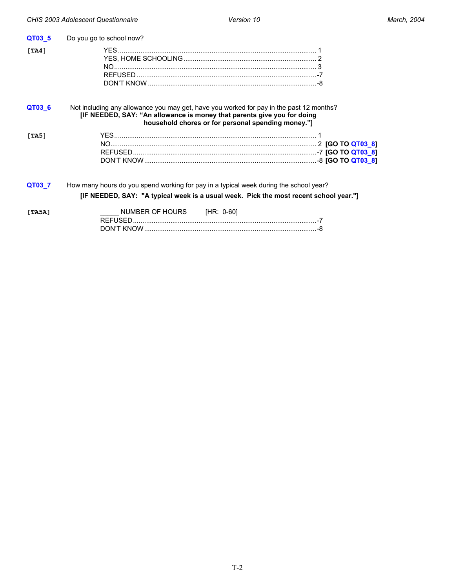<span id="page-4-0"></span>

| QT03_5 | Do you go to school now?                                                                                                                                                                                                 |  |
|--------|--------------------------------------------------------------------------------------------------------------------------------------------------------------------------------------------------------------------------|--|
| [TA4]  |                                                                                                                                                                                                                          |  |
| QT03_6 | Not including any allowance you may get, have you worked for pay in the past 12 months?<br>[IF NEEDED, SAY: "An allowance is money that parents give you for doing<br>household chores or for personal spending money."] |  |
| [TA5]  |                                                                                                                                                                                                                          |  |
| QT03_7 | How many hours do you spend working for pay in a typical week during the school year?<br>[IF NEEDED, SAY: "A typical week is a usual week. Pick the most recent school year."]                                           |  |
| [TA5A] | NUMBER OF HOURS<br>[HR: 0-60]                                                                                                                                                                                            |  |

DON'T KNOW............................................................................................-8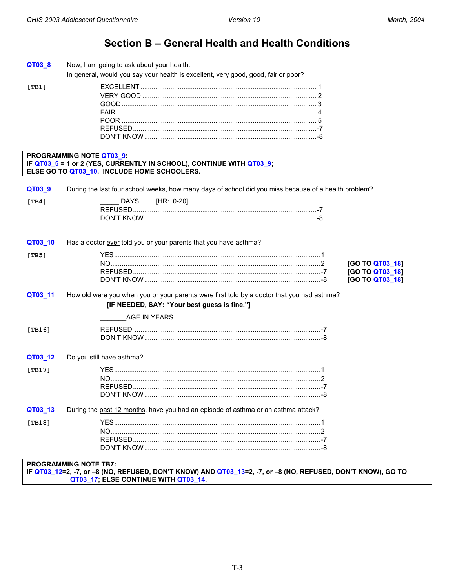$[TB1]$ 

### Section B - General Health and Health Conditions

<span id="page-5-0"></span>

| QT03_8 | Now, I am going to ask about your health. |
|--------|-------------------------------------------|
|--------|-------------------------------------------|

In general, would you say your health is excellent, very good, good, fair or poor?

#### PROGRAMMING NOTE QT03\_9: IF QT03\_5 = 1 or 2 (YES, CURRENTLY IN SCHOOL), CONTINUE WITH QT03\_9; ELSE GO TO QT03\_10. INCLUDE HOME SCHOOLERS.

| QT03_9  | During the last four school weeks, how many days of school did you miss because of a health problem?                                       |
|---------|--------------------------------------------------------------------------------------------------------------------------------------------|
| [TB4]   | [HR: 0-20]<br>DAYS                                                                                                                         |
| QT03_10 | Has a doctor ever told you or your parents that you have asthma?                                                                           |
| [TB5]   | [GO TO QT03_18]<br>[GO TO QT03_18]<br>[GO TO QT03_18]                                                                                      |
| QT03_11 | How old were you when you or your parents were first told by a doctor that you had asthma?<br>[IF NEEDED, SAY: "Your best guess is fine."] |
|         | AGE IN YEARS                                                                                                                               |
| [TB16]  |                                                                                                                                            |
| QT03_12 | Do you still have asthma?                                                                                                                  |
| [TB17]  |                                                                                                                                            |
| QT03_13 | During the past 12 months, have you had an episode of asthma or an asthma attack?                                                          |
| [TB18]  |                                                                                                                                            |

**PROGRAMMING NOTE TB7:** 

IF QT03\_12=2, -7, or -8 (NO, REFUSED, DON'T KNOW) AND QT03\_13=2, -7, or -8 (NO, REFUSED, DON'T KNOW), GO TO QT03\_17; ELSE CONTINUE WITH QT03\_14.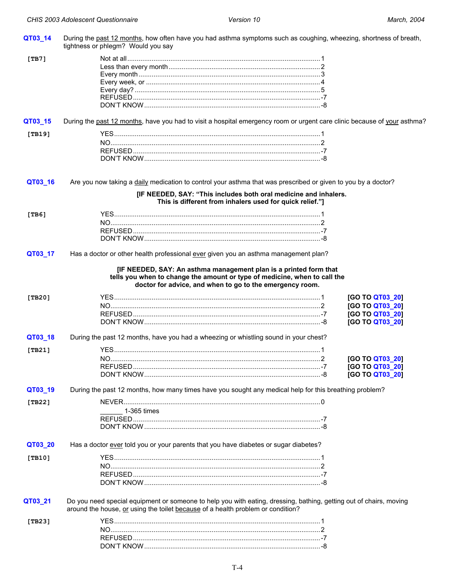<span id="page-6-0"></span>

| QT03_14    | During the past 12 months, how often have you had asthma symptoms such as coughing, wheezing, shortness of breath,<br>tightness or phlegm? Would you say                                                   |                 |
|------------|------------------------------------------------------------------------------------------------------------------------------------------------------------------------------------------------------------|-----------------|
| [TB7]      |                                                                                                                                                                                                            |                 |
|            |                                                                                                                                                                                                            |                 |
|            |                                                                                                                                                                                                            |                 |
|            |                                                                                                                                                                                                            |                 |
|            |                                                                                                                                                                                                            |                 |
|            |                                                                                                                                                                                                            |                 |
|            |                                                                                                                                                                                                            |                 |
| QT03_15    | During the past 12 months, have you had to visit a hospital emergency room or urgent care clinic because of your asthma?                                                                                   |                 |
| [TB19]     |                                                                                                                                                                                                            |                 |
|            |                                                                                                                                                                                                            |                 |
|            |                                                                                                                                                                                                            |                 |
|            |                                                                                                                                                                                                            |                 |
|            |                                                                                                                                                                                                            |                 |
| QT03_16    | Are you now taking a daily medication to control your asthma that was prescribed or given to you by a doctor?<br>[IF NEEDED, SAY: "This includes both oral medicine and inhalers.                          |                 |
|            | This is different from inhalers used for quick relief."]                                                                                                                                                   |                 |
| [TB6]      |                                                                                                                                                                                                            |                 |
|            |                                                                                                                                                                                                            |                 |
|            |                                                                                                                                                                                                            |                 |
|            |                                                                                                                                                                                                            |                 |
| QT03_17    | Has a doctor or other health professional ever given you an asthma management plan?                                                                                                                        |                 |
| [ $TB20$ ] | [IF NEEDED, SAY: An asthma management plan is a printed form that<br>tells you when to change the amount or type of medicine, when to call the<br>doctor for advice, and when to go to the emergency room. | [GO TO QT03_20] |
|            |                                                                                                                                                                                                            | [GO TO QT03_20] |
|            |                                                                                                                                                                                                            | [GO TO QT03_20] |
|            |                                                                                                                                                                                                            | [GO TO QT03_20] |
| QT03_18    | During the past 12 months, have you had a wheezing or whistling sound in your chest?                                                                                                                       |                 |
|            |                                                                                                                                                                                                            |                 |
| [TB21]     |                                                                                                                                                                                                            |                 |
|            |                                                                                                                                                                                                            | [GO TO QT03_20] |
|            | <b>REFUSED</b>                                                                                                                                                                                             | [GO TO QT03_20] |
|            |                                                                                                                                                                                                            | [GO TO QT03_20] |
| QT03_19    | During the past 12 months, how many times have you sought any medical help for this breathing problem?                                                                                                     |                 |
| [ $TB22$ ] |                                                                                                                                                                                                            |                 |
|            | 1-365 times                                                                                                                                                                                                |                 |
|            |                                                                                                                                                                                                            |                 |
|            |                                                                                                                                                                                                            |                 |
|            |                                                                                                                                                                                                            |                 |
| QT03_20    | Has a doctor ever told you or your parents that you have diabetes or sugar diabetes?                                                                                                                       |                 |
| [TB10]     |                                                                                                                                                                                                            |                 |
|            |                                                                                                                                                                                                            |                 |
|            |                                                                                                                                                                                                            |                 |
|            |                                                                                                                                                                                                            |                 |
| QT03_21    | Do you need special equipment or someone to help you with eating, dressing, bathing, getting out of chairs, moving                                                                                         |                 |
|            | around the house, or using the toilet because of a health problem or condition?                                                                                                                            |                 |
| [ $TB23$ ] |                                                                                                                                                                                                            |                 |
|            |                                                                                                                                                                                                            |                 |
|            |                                                                                                                                                                                                            |                 |
|            |                                                                                                                                                                                                            |                 |
|            |                                                                                                                                                                                                            |                 |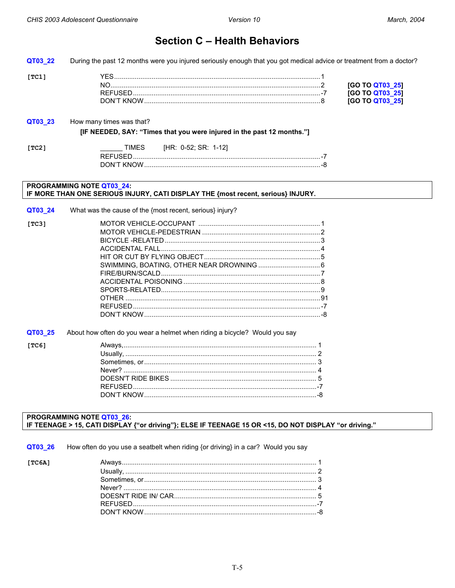$[TC1]$ 

 $[TC6]$ 

### **Section C - Health Behaviors**

<span id="page-7-0"></span>QT03\_22 During the past 12 months were you injured seriously enough that you got medical advice or treatment from a doctor?

| N0     | IGO TO OTI               |  |
|--------|--------------------------|--|
|        | $\overline{\phantom{a}}$ |  |
| IL INE |                          |  |

#### QT03\_23 How many times was that? [IF NEEDED, SAY: "Times that you were injured in the past 12 months."] **TIMES** [HR: 0-52; SR: 1-12]  $[TC2]$

#### PROGRAMMING NOTE QT03 24: IF MORE THAN ONE SERIOUS INJURY, CATI DISPLAY THE {most recent, serious} INJURY.

|       | <b>QT03 24</b> What was the cause of the {most recent, serious} injury? |  |
|-------|-------------------------------------------------------------------------|--|
| [TC3] |                                                                         |  |
|       |                                                                         |  |
|       |                                                                         |  |
|       |                                                                         |  |
|       |                                                                         |  |
|       |                                                                         |  |
|       |                                                                         |  |
|       |                                                                         |  |
|       |                                                                         |  |
|       |                                                                         |  |
|       |                                                                         |  |
|       |                                                                         |  |
|       |                                                                         |  |

QT03\_25 About how often do you wear a helmet when riding a bicycle? Would you say

#### PROGRAMMING NOTE QT03\_26: IF TEENAGE > 15, CATI DISPLAY {"or driving"}; ELSE IF TEENAGE 15 OR <15, DO NOT DISPLAY "or driving."

QT03 26 How often do you use a seatbelt when riding {or driving} in a car? Would you say

| [TC6A] |  |
|--------|--|
|        |  |
|        |  |
|        |  |
|        |  |
|        |  |
|        |  |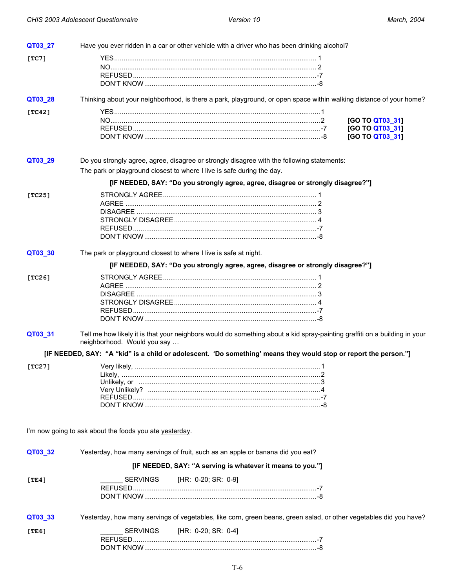<span id="page-8-0"></span>

| QT03_27    | Have you ever ridden in a car or other vehicle with a driver who has been drinking alcohol?                                                              |                                    |
|------------|----------------------------------------------------------------------------------------------------------------------------------------------------------|------------------------------------|
| [TC7]      |                                                                                                                                                          |                                    |
|            |                                                                                                                                                          |                                    |
|            |                                                                                                                                                          |                                    |
|            |                                                                                                                                                          |                                    |
| QT03_28    | Thinking about your neighborhood, is there a park, playground, or open space within walking distance of your home?                                       |                                    |
| [ $TC42$ ] |                                                                                                                                                          |                                    |
|            |                                                                                                                                                          | [GO TO QT03_31]                    |
|            |                                                                                                                                                          | [GO TO QT03_31]<br>[GO TO QT03_31] |
|            |                                                                                                                                                          |                                    |
| QT03_29    | Do you strongly agree, agree, disagree or strongly disagree with the following statements:                                                               |                                    |
|            | The park or playground closest to where I live is safe during the day.                                                                                   |                                    |
|            |                                                                                                                                                          |                                    |
|            | [IF NEEDED, SAY: "Do you strongly agree, agree, disagree or strongly disagree?"]                                                                         |                                    |
| [TC25]     |                                                                                                                                                          |                                    |
|            |                                                                                                                                                          |                                    |
|            |                                                                                                                                                          |                                    |
|            |                                                                                                                                                          |                                    |
|            |                                                                                                                                                          |                                    |
|            |                                                                                                                                                          |                                    |
| QT03_30    | The park or playground closest to where I live is safe at night.                                                                                         |                                    |
|            | [IF NEEDED, SAY: "Do you strongly agree, agree, disagree or strongly disagree?"]                                                                         |                                    |
| [TC26]     |                                                                                                                                                          |                                    |
|            |                                                                                                                                                          |                                    |
|            |                                                                                                                                                          |                                    |
|            |                                                                                                                                                          |                                    |
|            |                                                                                                                                                          |                                    |
|            |                                                                                                                                                          |                                    |
| QT03_31    | Tell me how likely it is that your neighbors would do something about a kid spray-painting graffiti on a building in your<br>neighborhood. Would you say |                                    |
|            | [IF NEEDED, SAY: "A "kid" is a child or adolescent. 'Do something' means they would stop or report the person."]                                         |                                    |
| [TC27]     |                                                                                                                                                          |                                    |
|            |                                                                                                                                                          |                                    |
|            |                                                                                                                                                          |                                    |
|            |                                                                                                                                                          |                                    |
|            |                                                                                                                                                          |                                    |
|            |                                                                                                                                                          |                                    |
|            |                                                                                                                                                          |                                    |
|            | I'm now going to ask about the foods you ate yesterday.                                                                                                  |                                    |
| QT03_32    | Yesterday, how many servings of fruit, such as an apple or banana did you eat?                                                                           |                                    |
|            | [IF NEEDED, SAY: "A serving is whatever it means to you."]                                                                                               |                                    |
| [TE4]      | SERVINGS<br>[HR: 0-20; SR: 0-9]                                                                                                                          |                                    |
|            |                                                                                                                                                          |                                    |
|            |                                                                                                                                                          |                                    |
|            |                                                                                                                                                          |                                    |
| QT03_33    | Yesterday, how many servings of vegetables, like corn, green beans, green salad, or other vegetables did you have?                                       |                                    |
| [TE6]      | SERVINGS<br>[HR: 0-20; SR: 0-4]                                                                                                                          |                                    |
|            |                                                                                                                                                          |                                    |
|            |                                                                                                                                                          |                                    |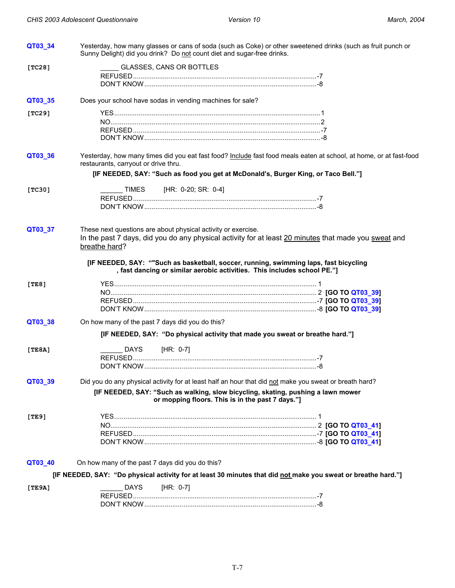<span id="page-9-0"></span>

| QT03_34 | Sunny Delight) did you drink? Do not count diet and sugar-free drinks.                                                                                            | Yesterday, how many glasses or cans of soda (such as Coke) or other sweetened drinks (such as fruit punch or       |
|---------|-------------------------------------------------------------------------------------------------------------------------------------------------------------------|--------------------------------------------------------------------------------------------------------------------|
| [TC28]  | GLASSES, CANS OR BOTTLES                                                                                                                                          |                                                                                                                    |
|         |                                                                                                                                                                   |                                                                                                                    |
| QT03_35 | Does your school have sodas in vending machines for sale?                                                                                                         |                                                                                                                    |
| [TC29]  |                                                                                                                                                                   |                                                                                                                    |
|         |                                                                                                                                                                   |                                                                                                                    |
|         |                                                                                                                                                                   |                                                                                                                    |
|         |                                                                                                                                                                   |                                                                                                                    |
| QT03_36 | restaurants, carryout or drive thru.                                                                                                                              | Yesterday, how many times did you eat fast food? Include fast food meals eaten at school, at home, or at fast-food |
|         | [IF NEEDED, SAY: "Such as food you get at McDonald's, Burger King, or Taco Bell."]                                                                                |                                                                                                                    |
| [TC30]  | [HR: 0-20; SR: 0-4]<br>TIMES                                                                                                                                      |                                                                                                                    |
|         |                                                                                                                                                                   |                                                                                                                    |
|         |                                                                                                                                                                   |                                                                                                                    |
| QT03_37 | These next questions are about physical activity or exercise.<br>breathe hard?                                                                                    | In the past 7 days, did you do any physical activity for at least 20 minutes that made you sweat and               |
|         |                                                                                                                                                                   |                                                                                                                    |
|         | [IF NEEDED, SAY: ""Such as basketball, soccer, running, swimming laps, fast bicycling<br>, fast dancing or similar aerobic activities. This includes school PE."] |                                                                                                                    |
| [TE8]   |                                                                                                                                                                   |                                                                                                                    |
|         |                                                                                                                                                                   |                                                                                                                    |
|         |                                                                                                                                                                   |                                                                                                                    |
| QT03_38 | On how many of the past 7 days did you do this?                                                                                                                   |                                                                                                                    |
|         | [IF NEEDED, SAY: "Do physical activity that made you sweat or breathe hard."]                                                                                     |                                                                                                                    |
| [TE8A]  | [HR: 0-7]<br>DAYS                                                                                                                                                 |                                                                                                                    |
|         |                                                                                                                                                                   |                                                                                                                    |
|         |                                                                                                                                                                   |                                                                                                                    |
| QT03 39 | Did you do any physical activity for at least half an hour that did not make you sweat or breath hard?                                                            |                                                                                                                    |
|         | [IF NEEDED, SAY: "Such as walking, slow bicycling, skating, pushing a lawn mower<br>or mopping floors. This is in the past 7 days."]                              |                                                                                                                    |
| [TE9]   |                                                                                                                                                                   |                                                                                                                    |
|         |                                                                                                                                                                   |                                                                                                                    |
|         |                                                                                                                                                                   |                                                                                                                    |
|         |                                                                                                                                                                   |                                                                                                                    |
| QT03_40 | On how many of the past 7 days did you do this?                                                                                                                   |                                                                                                                    |
|         | [IF NEEDED, SAY: "Do physical activity for at least 30 minutes that did not make you sweat or breathe hard."]                                                     |                                                                                                                    |
| [TE9A]  | <b>DAYS</b><br>[HR: 0-7]                                                                                                                                          |                                                                                                                    |
|         |                                                                                                                                                                   |                                                                                                                    |
|         |                                                                                                                                                                   |                                                                                                                    |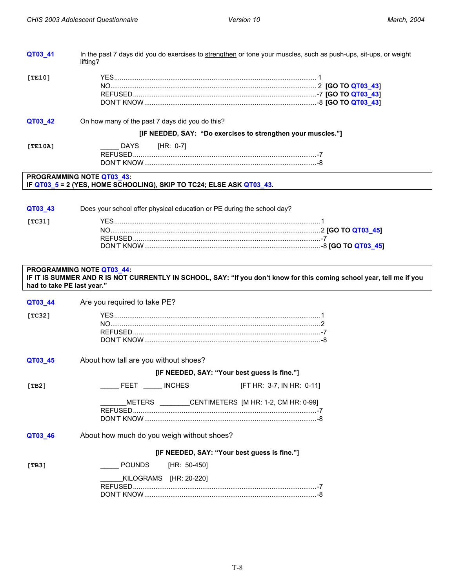<span id="page-10-0"></span>

| QT03_41                    | In the past 7 days did you do exercises to strengthen or tone your muscles, such as push-ups, sit-ups, or weight<br>lifting?                       |  |
|----------------------------|----------------------------------------------------------------------------------------------------------------------------------------------------|--|
| [TE10]                     |                                                                                                                                                    |  |
| QT03_42                    | On how many of the past 7 days did you do this?                                                                                                    |  |
|                            | [IF NEEDED, SAY: "Do exercises to strengthen your muscles."]                                                                                       |  |
| [TE10A]                    | DAYS<br>$[HR: 0-7]$                                                                                                                                |  |
|                            | PROGRAMMING NOTE QT03_43:<br>IF QT03_5 = 2 (YES, HOME SCHOOLING), SKIP TO TC24; ELSE ASK QT03_43.                                                  |  |
| QT03_43<br>[TC31]          | Does your school offer physical education or PE during the school day?                                                                             |  |
|                            |                                                                                                                                                    |  |
|                            | PROGRAMMING NOTE QT03_44:<br>IF IT IS SUMMER AND R IS NOT CURRENTLY IN SCHOOL, SAY: "If you don't know for this coming school year, tell me if you |  |
| had to take PE last year." |                                                                                                                                                    |  |
| QT03_44                    | Are you required to take PE?                                                                                                                       |  |
| [TC32]                     |                                                                                                                                                    |  |
| QT03_45                    | About how tall are you without shoes?                                                                                                              |  |
|                            | [IF NEEDED, SAY: "Your best guess is fine."]                                                                                                       |  |
| [TB2]                      | FEET INCHES<br>[FT HR: 3-7, IN HR: 0-11]                                                                                                           |  |
|                            | METERS _______CENTIMETERS [M HR: 1-2, CM HR: 0-99]                                                                                                 |  |
| QT03_46                    | About how much do you weigh without shoes?                                                                                                         |  |
|                            | [IF NEEDED, SAY: "Your best guess is fine."]                                                                                                       |  |
| [TB3]                      | <b>POUNDS</b><br>[HR: 50-450]                                                                                                                      |  |
|                            | KILOGRAMS [HR: 20-220]                                                                                                                             |  |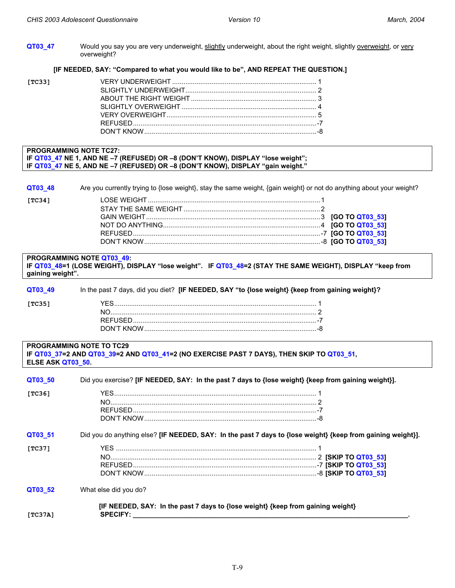<span id="page-11-0"></span>**QT03\_47** Would you say you are very underweight, slightly underweight, about the right weight, slightly overweight, or very overweight?

#### **[IF NEEDED, SAY: "Compared to what you would like to be", AND REPEAT THE QUESTION.]**

| [TC33] |  |
|--------|--|
|        |  |
|        |  |
|        |  |
|        |  |
|        |  |
|        |  |

#### **PROGRAMMING NOTE TC27: IF QT03\_47 NE 1, AND NE –7 (REFUSED) OR –8 (DON'T KNOW), DISPLAY "lose weight"; IF QT03\_47 NE 5, AND NE –7 (REFUSED) OR –8 (DON'T KNOW), DISPLAY "gain weight."**

**QT03\_48** Are you currently trying to {lose weight}, stay the same weight, {gain weight} or not do anything about your weight?

| [TC34] |  |  |
|--------|--|--|
|        |  |  |
|        |  |  |
|        |  |  |
|        |  |  |
|        |  |  |

### **PROGRAMMING NOTE QT03\_49: IF QT03\_48=1 (LOSE WEIGHT), DISPLAY "lose weight". IF QT03\_48=2 (STAY THE SAME WEIGHT), DISPLAY "keep from gaining weight".**

| QT03 49 | In the past 7 days, did you diet? [IF NEEDED, SAY "to {lose weight} {keep from gaining weight}? |
|---------|-------------------------------------------------------------------------------------------------|
| [TC35]  |                                                                                                 |
|         |                                                                                                 |
|         |                                                                                                 |
|         |                                                                                                 |

### **PROGRAMMING NOTE TO TC29 IF QT03\_37=2 AND QT03\_39=2 AND QT03\_41=2 (NO EXERCISE PAST 7 DAYS), THEN SKIP TO QT03\_51, ELSE ASK QT03\_50.**

| QT03 50 | Did you exercise? [IF NEEDED, SAY: In the past 7 days to {lose weight} {keep from gaining weight}]. |                                                                                                             |  |
|---------|-----------------------------------------------------------------------------------------------------|-------------------------------------------------------------------------------------------------------------|--|
| [TC36]  |                                                                                                     |                                                                                                             |  |
| QT03 51 |                                                                                                     | Did you do anything else? [IF NEEDED, SAY: In the past 7 days to {lose weight} {keep from gaining weight}]. |  |
| [TC37]  |                                                                                                     |                                                                                                             |  |
| QT03 52 | What else did you do?                                                                               |                                                                                                             |  |
| [TC37A] | [IF NEEDED, SAY: In the past 7 days to {lose weight} {keep from gaining weight}<br><b>SPECIFY:</b>  |                                                                                                             |  |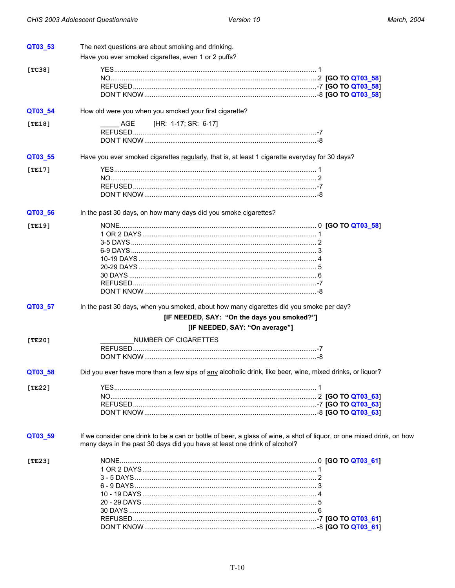<span id="page-12-0"></span>

| QT03 53 | The next questions are about smoking and drinking.                                                       |                                                                                                                       |
|---------|----------------------------------------------------------------------------------------------------------|-----------------------------------------------------------------------------------------------------------------------|
|         | Have you ever smoked cigarettes, even 1 or 2 puffs?                                                      |                                                                                                                       |
| [TC38]  |                                                                                                          |                                                                                                                       |
|         |                                                                                                          |                                                                                                                       |
|         |                                                                                                          |                                                                                                                       |
|         |                                                                                                          |                                                                                                                       |
| QT03_54 | How old were you when you smoked your first cigarette?                                                   |                                                                                                                       |
| [TE18]  | [HR: 1-17; SR: 6-17]<br>AGE                                                                              |                                                                                                                       |
|         |                                                                                                          |                                                                                                                       |
|         |                                                                                                          |                                                                                                                       |
| QT03_55 | Have you ever smoked cigarettes regularly, that is, at least 1 cigarette everyday for 30 days?           |                                                                                                                       |
| [TE17]  |                                                                                                          |                                                                                                                       |
|         |                                                                                                          |                                                                                                                       |
|         |                                                                                                          |                                                                                                                       |
|         |                                                                                                          |                                                                                                                       |
| QT03_56 | In the past 30 days, on how many days did you smoke cigarettes?                                          |                                                                                                                       |
| [TE19]  |                                                                                                          |                                                                                                                       |
|         |                                                                                                          |                                                                                                                       |
|         |                                                                                                          |                                                                                                                       |
|         |                                                                                                          |                                                                                                                       |
|         |                                                                                                          |                                                                                                                       |
|         |                                                                                                          |                                                                                                                       |
|         |                                                                                                          |                                                                                                                       |
|         |                                                                                                          |                                                                                                                       |
|         |                                                                                                          |                                                                                                                       |
| QT03_57 | In the past 30 days, when you smoked, about how many cigarettes did you smoke per day?                   |                                                                                                                       |
|         | [IF NEEDED, SAY: "On the days you smoked?"]                                                              |                                                                                                                       |
|         | [IF NEEDED, SAY: "On average"]                                                                           |                                                                                                                       |
| [TE20]  | NUMBER OF CIGARETTES                                                                                     |                                                                                                                       |
|         |                                                                                                          |                                                                                                                       |
|         |                                                                                                          |                                                                                                                       |
| QT03 58 | Did you ever have more than a few sips of any alcoholic drink, like beer, wine, mixed drinks, or liquor? |                                                                                                                       |
| [TE22]  |                                                                                                          |                                                                                                                       |
|         |                                                                                                          |                                                                                                                       |
|         |                                                                                                          |                                                                                                                       |
|         |                                                                                                          |                                                                                                                       |
| QT03_59 | many days in the past 30 days did you have at least one drink of alcohol?                                | If we consider one drink to be a can or bottle of beer, a glass of wine, a shot of liquor, or one mixed drink, on how |
| [TE23]  |                                                                                                          |                                                                                                                       |
|         |                                                                                                          |                                                                                                                       |
|         |                                                                                                          |                                                                                                                       |
|         |                                                                                                          |                                                                                                                       |
|         |                                                                                                          |                                                                                                                       |
|         |                                                                                                          |                                                                                                                       |
|         |                                                                                                          |                                                                                                                       |
|         |                                                                                                          |                                                                                                                       |
|         |                                                                                                          |                                                                                                                       |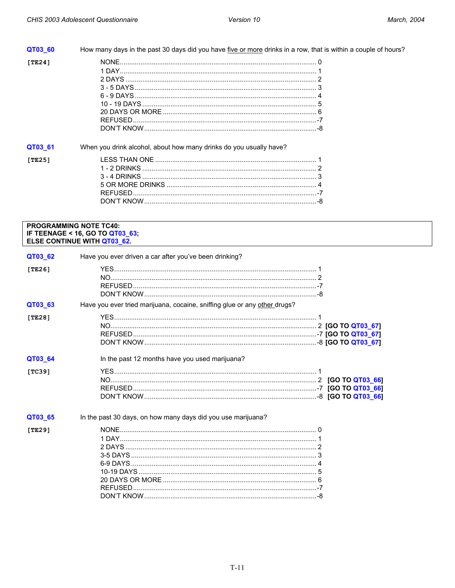| QT03 60 | How many days in the past 30 days did you have five or more drinks in a row, that is within a couple of hours? |
|---------|----------------------------------------------------------------------------------------------------------------|
| [TE24]  |                                                                                                                |
| QT03 61 | When you drink alcohol, about how many drinks do you usually have?                                             |
| [TE25]  |                                                                                                                |

### **PROGRAMMING NOTE TC40:** IF TEENAGE < 16, GO TO QT03\_63;<br>ELSE CONTINUE WITH QT03\_62.

| QT03_62 | Have you ever driven a car after you've been drinking?                    |  |
|---------|---------------------------------------------------------------------------|--|
| [TE26]  |                                                                           |  |
| QT03_63 | Have you ever tried marijuana, cocaine, sniffing glue or any other drugs? |  |
| [TE28]  |                                                                           |  |
| QT03_64 | In the past 12 months have you used marijuana?                            |  |
| [TC39]  |                                                                           |  |
| QT03_65 | In the past 30 days, on how many days did you use marijuana?              |  |
| [TE29]  |                                                                           |  |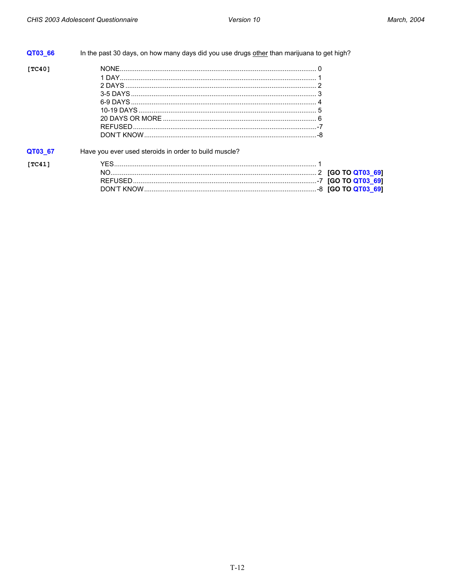| QT03 66 | In the past 30 days, on how many days did you use drugs other than marijuana to get high? |  |
|---------|-------------------------------------------------------------------------------------------|--|
| [TC40]  |                                                                                           |  |
| QT03 67 | Have you ever used steroids in order to build muscle?                                     |  |
| [TC41]  |                                                                                           |  |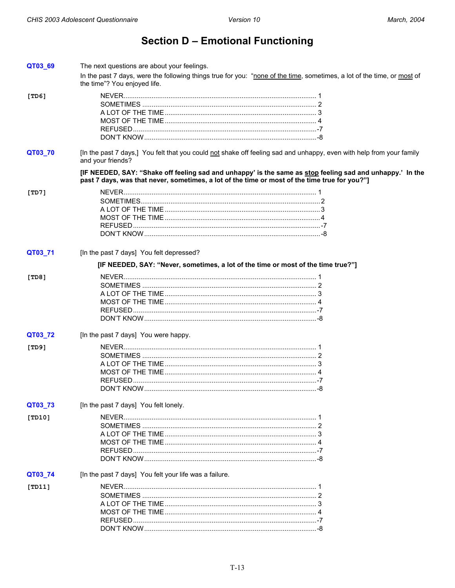# **Section D - Emotional Functioning**

<span id="page-15-0"></span>

| QT03_69 | The next questions are about your feelings.                                                                                                                                                                |  |
|---------|------------------------------------------------------------------------------------------------------------------------------------------------------------------------------------------------------------|--|
|         | In the past 7 days, were the following things true for you: "none of the time, sometimes, a lot of the time, or most of<br>the time"? You enjoyed life.                                                    |  |
| [TD6]   |                                                                                                                                                                                                            |  |
|         |                                                                                                                                                                                                            |  |
|         |                                                                                                                                                                                                            |  |
|         |                                                                                                                                                                                                            |  |
|         |                                                                                                                                                                                                            |  |
|         |                                                                                                                                                                                                            |  |
|         |                                                                                                                                                                                                            |  |
| QT03_70 | [In the past 7 days,] You felt that you could not shake off feeling sad and unhappy, even with help from your family<br>and your friends?                                                                  |  |
|         | [IF NEEDED, SAY: "Shake off feeling sad and unhappy' is the same as stop feeling sad and unhappy.' In the<br>past 7 days, was that never, sometimes, a lot of the time or most of the time true for you?"] |  |
| [TD7]   |                                                                                                                                                                                                            |  |
|         |                                                                                                                                                                                                            |  |
|         |                                                                                                                                                                                                            |  |
|         |                                                                                                                                                                                                            |  |
|         |                                                                                                                                                                                                            |  |
|         |                                                                                                                                                                                                            |  |
|         |                                                                                                                                                                                                            |  |
| QT03_71 | [In the past 7 days] You felt depressed?                                                                                                                                                                   |  |
|         | [IF NEEDED, SAY: "Never, sometimes, a lot of the time or most of the time true?"]                                                                                                                          |  |
| [TD8]   |                                                                                                                                                                                                            |  |
|         |                                                                                                                                                                                                            |  |
|         |                                                                                                                                                                                                            |  |
|         |                                                                                                                                                                                                            |  |
|         |                                                                                                                                                                                                            |  |
|         |                                                                                                                                                                                                            |  |
|         |                                                                                                                                                                                                            |  |
| QT03_72 | [In the past 7 days] You were happy.                                                                                                                                                                       |  |
| [TD9]   |                                                                                                                                                                                                            |  |
|         |                                                                                                                                                                                                            |  |
|         |                                                                                                                                                                                                            |  |
|         |                                                                                                                                                                                                            |  |
|         |                                                                                                                                                                                                            |  |
|         |                                                                                                                                                                                                            |  |
|         |                                                                                                                                                                                                            |  |
| QT03_73 | [In the past 7 days] You felt lonely.                                                                                                                                                                      |  |
| [TD10]  |                                                                                                                                                                                                            |  |
|         |                                                                                                                                                                                                            |  |
|         |                                                                                                                                                                                                            |  |
|         |                                                                                                                                                                                                            |  |
|         |                                                                                                                                                                                                            |  |
|         |                                                                                                                                                                                                            |  |
| QT03_74 | [In the past 7 days] You felt your life was a failure.                                                                                                                                                     |  |
|         |                                                                                                                                                                                                            |  |
| [TD11]  |                                                                                                                                                                                                            |  |
|         |                                                                                                                                                                                                            |  |
|         |                                                                                                                                                                                                            |  |
|         |                                                                                                                                                                                                            |  |
|         |                                                                                                                                                                                                            |  |
|         |                                                                                                                                                                                                            |  |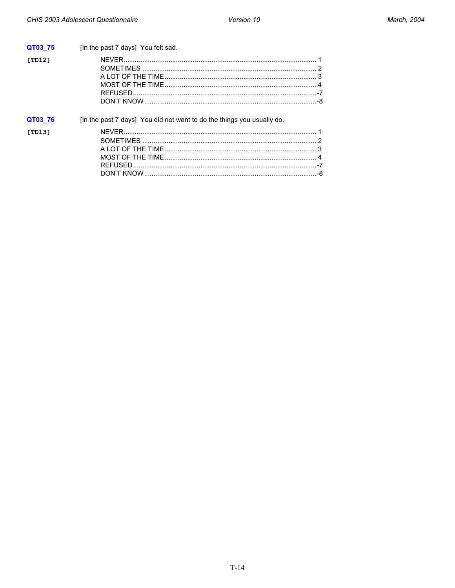| QT03 75 | [In the past 7 days] You felt sad.                                     |  |
|---------|------------------------------------------------------------------------|--|
| [TD12]  |                                                                        |  |
| QT03 76 | [In the past 7 days] You did not want to do the things you usually do. |  |
| [TD13]  |                                                                        |  |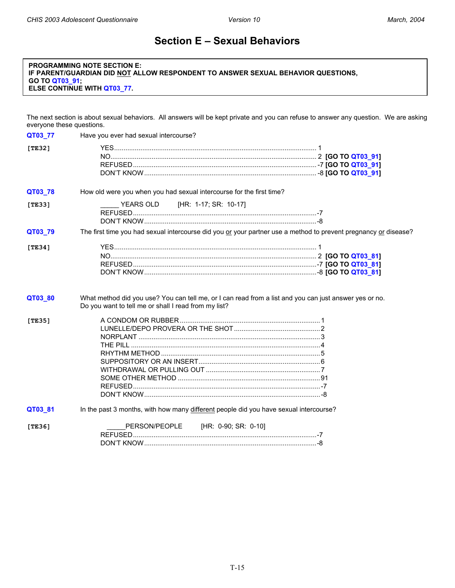### **Section E – Sexual Behaviors**

#### <span id="page-17-0"></span>**PROGRAMMING NOTE SECTION E: IF PARENT/GUARDIAN DID NOT ALLOW RESPONDENT TO ANSWER SEXUAL BEHAVIOR QUESTIONS, GO TO QT03\_91; ELSE CONTINUE WITH QT03\_77.**

The next section is about sexual behaviors. All answers will be kept private and you can refuse to answer any question. We are asking everyone these questions.

| QT03_77    | Have you ever had sexual intercourse?                                                                                                                          |  |
|------------|----------------------------------------------------------------------------------------------------------------------------------------------------------------|--|
| [TE32]     |                                                                                                                                                                |  |
| QT03_78    | How old were you when you had sexual intercourse for the first time?                                                                                           |  |
| [TE33]     | YEARS OLD [HR: 1-17; SR: 10-17]                                                                                                                                |  |
| QT03_79    | The first time you had sexual intercourse did you or your partner use a method to prevent pregnancy or disease?                                                |  |
| [ $TE34$ ] |                                                                                                                                                                |  |
| QT03_80    | What method did you use? You can tell me, or I can read from a list and you can just answer yes or no.<br>Do you want to tell me or shall I read from my list? |  |
| [TE35]     |                                                                                                                                                                |  |
| QT03_81    | In the past 3 months, with how many different people did you have sexual intercourse?                                                                          |  |
| [TE36]     | PERSON/PEOPLE [HR: 0-90; SR: 0-10]                                                                                                                             |  |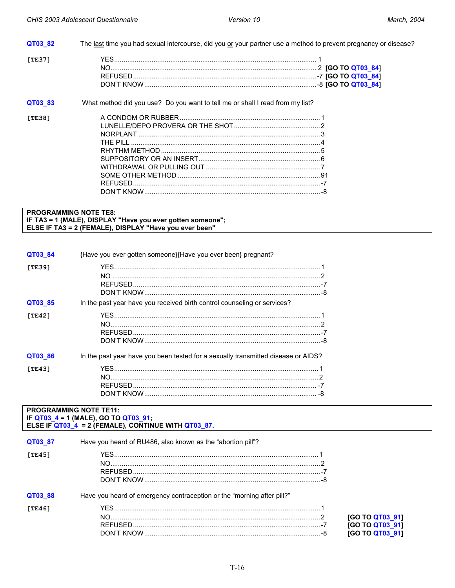<span id="page-18-0"></span>

| QT03 82 | The last time you had sexual intercourse, did you or your partner use a method to prevent pregnancy or disease? |  |
|---------|-----------------------------------------------------------------------------------------------------------------|--|
| [TE37]  |                                                                                                                 |  |
|         |                                                                                                                 |  |
|         |                                                                                                                 |  |
|         |                                                                                                                 |  |
| QT03 83 | What method did you use? Do you want to tell me or shall I read from my list?                                   |  |
| [TE38]  |                                                                                                                 |  |
|         |                                                                                                                 |  |
|         |                                                                                                                 |  |
|         |                                                                                                                 |  |
|         |                                                                                                                 |  |
|         |                                                                                                                 |  |
|         |                                                                                                                 |  |
|         |                                                                                                                 |  |
|         |                                                                                                                 |  |
|         |                                                                                                                 |  |

#### **PROGRAMMING NOTE TE8:** IF TA3 = 1 (MALE), DISPLAY "Have you ever gotten someone"; ELSE IF TA3 = 2 (FEMALE), DISPLAY "Have you ever been"

| QT03 84       | {Have you ever gotten someone}{Have you ever been} pregnant?                      |
|---------------|-----------------------------------------------------------------------------------|
| <b>TTE391</b> |                                                                                   |
| QT03 85       | In the past year have you received birth control counseling or services?          |
| ITE421        |                                                                                   |
| QT03 86       | In the past year have you been tested for a sexually transmitted disease or AIDS? |
| ITE431        |                                                                                   |

#### **PROGRAMMING NOTE TE11:** IF QT03\_4 = 1 (MALE), GO TO QT03\_91; ELSE IF QT03\_4 = 2 (FEMALE), CONTINUE WITH QT03\_87.

| QT03 87 | Have you heard of RU486, also known as the "abortion pill"?            |                 |
|---------|------------------------------------------------------------------------|-----------------|
| [TE45]  |                                                                        |                 |
| QT03 88 | Have you heard of emergency contraception or the "morning after pill?" |                 |
| [TE46]  |                                                                        |                 |
|         |                                                                        | [GO TO QT03_91] |
|         |                                                                        | [GO TO QT03_91] |
|         |                                                                        | [GO TO QT03_91] |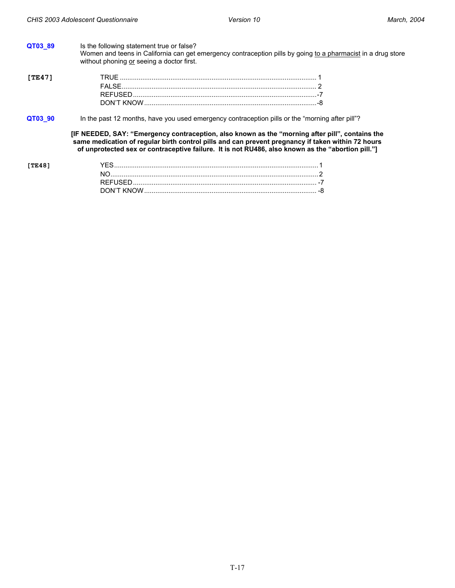| QT03 89 | Is the following statement true or false?<br>without phoning or seeing a doctor first. | Women and teens in California can get emergency contraception pills by going to a pharmacist in a drug store                                                                                                                                                                                              |
|---------|----------------------------------------------------------------------------------------|-----------------------------------------------------------------------------------------------------------------------------------------------------------------------------------------------------------------------------------------------------------------------------------------------------------|
| [TE47]  |                                                                                        |                                                                                                                                                                                                                                                                                                           |
|         |                                                                                        |                                                                                                                                                                                                                                                                                                           |
|         |                                                                                        |                                                                                                                                                                                                                                                                                                           |
|         |                                                                                        |                                                                                                                                                                                                                                                                                                           |
| QT03_90 |                                                                                        | In the past 12 months, have you used emergency contraception pills or the "morning after pill"?                                                                                                                                                                                                           |
|         |                                                                                        | [IF NEEDED, SAY: "Emergency contraception, also known as the "morning after pill", contains the<br>same medication of regular birth control pills and can prevent pregnancy if taken within 72 hours<br>of unprotected sex or contraceptive failure. It is not RU486, also known as the "abortion pill."] |
| ITE481  |                                                                                        |                                                                                                                                                                                                                                                                                                           |
|         |                                                                                        |                                                                                                                                                                                                                                                                                                           |
|         |                                                                                        |                                                                                                                                                                                                                                                                                                           |
|         |                                                                                        |                                                                                                                                                                                                                                                                                                           |
|         |                                                                                        |                                                                                                                                                                                                                                                                                                           |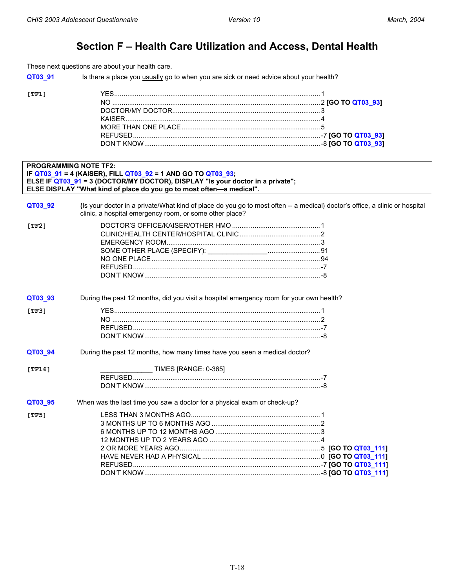## **Section F – Health Care Utilization and Access, Dental Health**

<span id="page-20-0"></span>These next questions are about your health care.

**QT03\_91** Is there a place you usually go to when you are sick or need advice about your health?

| וחיו |  |
|------|--|
|      |  |
|      |  |
|      |  |
|      |  |
|      |  |
|      |  |

| <b>PROGRAMMING NOTE TF2:</b> | IF QT03_91 = 4 (KAISER), FILL QT03_92 = 1 AND GO TO QT03_93;                                                                                                                           |  |
|------------------------------|----------------------------------------------------------------------------------------------------------------------------------------------------------------------------------------|--|
|                              | ELSE IF QT03_91 = 3 (DOCTOR/MY DOCTOR), DISPLAY "Is your doctor in a private";<br>ELSE DISPLAY "What kind of place do you go to most often-a medical".                                 |  |
| QT03_92                      | {Is your doctor in a private/What kind of place do you go to most often -- a medical} doctor's office, a clinic or hospital<br>clinic, a hospital emergency room, or some other place? |  |
| [TF2]                        |                                                                                                                                                                                        |  |
| QT03_93                      | During the past 12 months, did you visit a hospital emergency room for your own health?                                                                                                |  |
| [TF3]                        |                                                                                                                                                                                        |  |
| QT03_94                      | During the past 12 months, how many times have you seen a medical doctor?                                                                                                              |  |
| [TF16]                       | ______ TIMES [RANGE: 0-365]                                                                                                                                                            |  |
| QT03_95                      | When was the last time you saw a doctor for a physical exam or check-up?                                                                                                               |  |
| [TF5]                        |                                                                                                                                                                                        |  |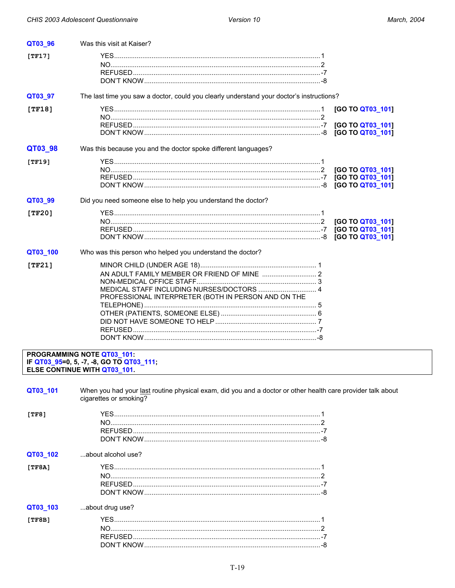<span id="page-21-0"></span>

| QT03_96    | Was this visit at Kaiser?                                                                                  |                                      |
|------------|------------------------------------------------------------------------------------------------------------|--------------------------------------|
| $[TF17]$   |                                                                                                            |                                      |
|            |                                                                                                            |                                      |
|            |                                                                                                            |                                      |
|            |                                                                                                            |                                      |
| QT03_97    | The last time you saw a doctor, could you clearly understand your doctor's instructions?                   |                                      |
| [TF18]     |                                                                                                            | [GO TO QT03_101]                     |
|            |                                                                                                            |                                      |
|            |                                                                                                            | [GO TO QT03_101]<br>[GO TO QT03_101] |
| QT03_98    | Was this because you and the doctor spoke different languages?                                             |                                      |
| [TF19]     |                                                                                                            |                                      |
|            |                                                                                                            | [GO TO QT03_101]                     |
|            |                                                                                                            |                                      |
|            |                                                                                                            |                                      |
| QT03_99    | Did you need someone else to help you understand the doctor?                                               |                                      |
| [TF20]     |                                                                                                            |                                      |
|            |                                                                                                            | [GO TO QT03_101]                     |
|            |                                                                                                            | [GO TO QT03 101]                     |
|            |                                                                                                            | [GO TO QT03 101]                     |
| QT03_100   | Who was this person who helped you understand the doctor?                                                  |                                      |
| [ $TF21$ ] |                                                                                                            |                                      |
|            | AN ADULT FAMILY MEMBER OR FRIEND OF MINE  2                                                                |                                      |
|            |                                                                                                            |                                      |
|            | MEDICAL STAFF INCLUDING NURSES/DOCTORS  4<br>PROFESSIONAL INTERPRETER (BOTH IN PERSON AND ON THE           |                                      |
|            |                                                                                                            |                                      |
|            |                                                                                                            |                                      |
|            |                                                                                                            |                                      |
|            |                                                                                                            |                                      |
|            |                                                                                                            |                                      |
|            | PROGRAMMING NOTE QT03_101:                                                                                 |                                      |
|            | IF QT03_95=0, 5, -7, -8, GO TO QT03_111;<br>ELSE CONTINUE WITH QT03_101.                                   |                                      |
|            |                                                                                                            |                                      |
| QT03_101   | When you had your last routine physical exam, did you and a doctor or other health care provider talk abou |                                      |
|            | cigarettes or smoking?                                                                                     |                                      |
| [TF8]      |                                                                                                            |                                      |
|            |                                                                                                            |                                      |
|            |                                                                                                            |                                      |
|            |                                                                                                            |                                      |

| QT03 101 | When you had your last routine physical exam, did you and a doctor or other health care provider talk about<br>cigarettes or smoking? |
|----------|---------------------------------------------------------------------------------------------------------------------------------------|
| [TF8]    |                                                                                                                                       |
| QT03 102 | about alcohol use?                                                                                                                    |
| [TF8A]   |                                                                                                                                       |
| QT03_103 | about drug use?                                                                                                                       |
| [TF8B]   |                                                                                                                                       |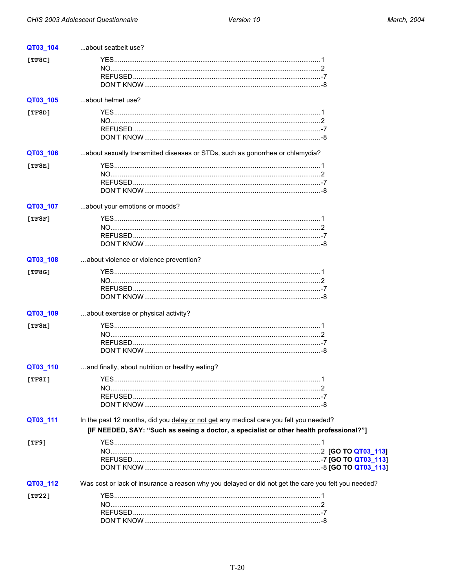<span id="page-22-0"></span>

| QT03_104 | about seatbelt use?                                                                                 |  |
|----------|-----------------------------------------------------------------------------------------------------|--|
| [TF8C]   |                                                                                                     |  |
|          |                                                                                                     |  |
|          |                                                                                                     |  |
|          |                                                                                                     |  |
| QT03_105 | about helmet use?                                                                                   |  |
| [TF8D]   |                                                                                                     |  |
|          |                                                                                                     |  |
|          |                                                                                                     |  |
|          |                                                                                                     |  |
|          |                                                                                                     |  |
| QT03_106 | about sexually transmitted diseases or STDs, such as gonorrhea or chlamydia?                        |  |
| [TF8E]   |                                                                                                     |  |
|          |                                                                                                     |  |
|          |                                                                                                     |  |
|          |                                                                                                     |  |
| QT03_107 | about your emotions or moods?                                                                       |  |
| [TF8F]   |                                                                                                     |  |
|          |                                                                                                     |  |
|          |                                                                                                     |  |
|          |                                                                                                     |  |
|          |                                                                                                     |  |
| QT03_108 | about violence or violence prevention?                                                              |  |
| [TF8G]   |                                                                                                     |  |
|          |                                                                                                     |  |
|          |                                                                                                     |  |
|          |                                                                                                     |  |
| QT03_109 | about exercise or physical activity?                                                                |  |
| [TF8H]   |                                                                                                     |  |
|          |                                                                                                     |  |
|          |                                                                                                     |  |
|          |                                                                                                     |  |
|          |                                                                                                     |  |
| QT03_110 | and finally, about nutrition or healthy eating?                                                     |  |
| [TF8I]   |                                                                                                     |  |
|          |                                                                                                     |  |
|          |                                                                                                     |  |
|          |                                                                                                     |  |
| QT03_111 | In the past 12 months, did you delay or not get any medical care you felt you needed?               |  |
|          | [IF NEEDED, SAY: "Such as seeing a doctor, a specialist or other health professional?"]             |  |
|          |                                                                                                     |  |
| [TF9]    |                                                                                                     |  |
|          |                                                                                                     |  |
|          |                                                                                                     |  |
|          |                                                                                                     |  |
| QT03_112 | Was cost or lack of insurance a reason why you delayed or did not get the care you felt you needed? |  |
| [TF22]   |                                                                                                     |  |
|          |                                                                                                     |  |
|          |                                                                                                     |  |
|          |                                                                                                     |  |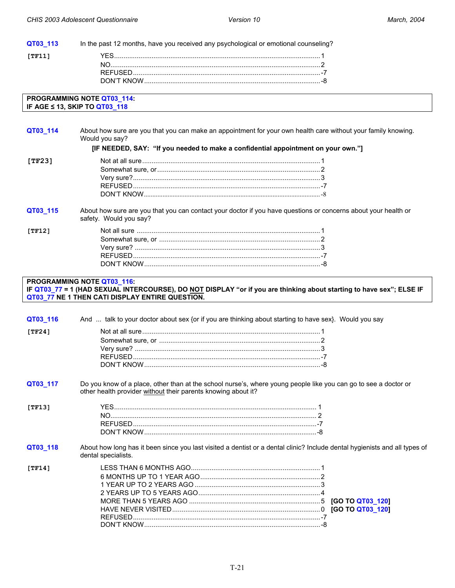<span id="page-23-0"></span>

| QT03_113 | In the past 12 months, have you received any psychological or emotional counseling?                                                                                                                   |
|----------|-------------------------------------------------------------------------------------------------------------------------------------------------------------------------------------------------------|
| [TF11]   |                                                                                                                                                                                                       |
|          |                                                                                                                                                                                                       |
|          |                                                                                                                                                                                                       |
|          |                                                                                                                                                                                                       |
|          | PROGRAMMING NOTE QT03_114:                                                                                                                                                                            |
|          | IF AGE ≤ 13, SKIP TO QT03_118                                                                                                                                                                         |
|          |                                                                                                                                                                                                       |
| QT03_114 | About how sure are you that you can make an appointment for your own health care without your family knowing.<br>Would you say?                                                                       |
|          | [IF NEEDED, SAY: "If you needed to make a confidential appointment on your own."]                                                                                                                     |
| [TF23]   |                                                                                                                                                                                                       |
|          |                                                                                                                                                                                                       |
|          |                                                                                                                                                                                                       |
|          |                                                                                                                                                                                                       |
|          |                                                                                                                                                                                                       |
| QT03_115 | About how sure are you that you can contact your doctor if you have questions or concerns about your health or<br>safety. Would you say?                                                              |
| [TF12]   |                                                                                                                                                                                                       |
|          |                                                                                                                                                                                                       |
|          |                                                                                                                                                                                                       |
|          |                                                                                                                                                                                                       |
|          |                                                                                                                                                                                                       |
|          | PROGRAMMING NOTE QT03_116:<br>IF QT03_77 = 1 (HAD SEXUAL INTERCOURSE), DO NOT DISPLAY "or if you are thinking about starting to have sex"; ELSE IF<br>QT03_77 NE 1 THEN CATI DISPLAY ENTIRE QUESTION. |
| QT03_116 | And  talk to your doctor about sex {or if you are thinking about starting to have sex}. Would you say                                                                                                 |
| [TF24]   |                                                                                                                                                                                                       |
|          |                                                                                                                                                                                                       |
|          |                                                                                                                                                                                                       |
|          |                                                                                                                                                                                                       |
|          |                                                                                                                                                                                                       |
|          |                                                                                                                                                                                                       |
| QT03_117 | Do you know of a place, other than at the school nurse's, where young people like you can go to see a doctor or<br>other health provider without their parents knowing about it?                      |
| [TF13]   |                                                                                                                                                                                                       |
|          |                                                                                                                                                                                                       |
|          |                                                                                                                                                                                                       |
|          |                                                                                                                                                                                                       |
| QT03_118 | About how long has it been since you last visited a dentist or a dental clinic? Include dental hygienists and all types of<br>dental specialists.                                                     |
| [TF14]   |                                                                                                                                                                                                       |
|          |                                                                                                                                                                                                       |
|          |                                                                                                                                                                                                       |
|          |                                                                                                                                                                                                       |
|          |                                                                                                                                                                                                       |
|          |                                                                                                                                                                                                       |
|          | [GO TO QT03_120]                                                                                                                                                                                      |

DON'T KNOW..............................................................................................-8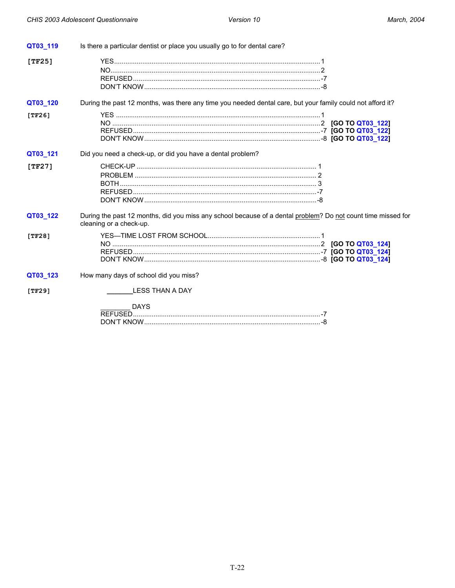| QT03_119   | Is there a particular dentist or place you usually go to for dental care?                                                               |  |
|------------|-----------------------------------------------------------------------------------------------------------------------------------------|--|
| [ $TF25$ ] |                                                                                                                                         |  |
| QT03_120   | During the past 12 months, was there any time you needed dental care, but your family could not afford it?                              |  |
| [TF26]     |                                                                                                                                         |  |
| QT03_121   | Did you need a check-up, or did you have a dental problem?                                                                              |  |
| [TF27]     |                                                                                                                                         |  |
| QT03_122   | During the past 12 months, did you miss any school because of a dental problem? Do not count time missed for<br>cleaning or a check-up. |  |
| [TF28]     |                                                                                                                                         |  |
| QT03_123   | How many days of school did you miss?                                                                                                   |  |
| [TF29]     | LESS THAN A DAY<br><b>DAYS</b>                                                                                                          |  |
|            |                                                                                                                                         |  |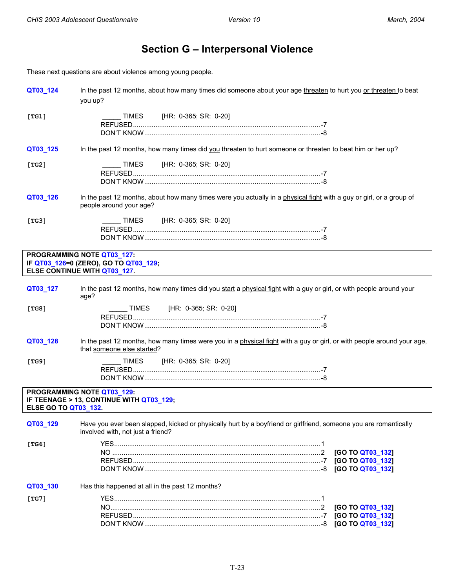## **Section G – Interpersonal Violence**

<span id="page-25-0"></span>These next questions are about violence among young people.

| QT03_124                    | In the past 12 months, about how many times did someone about your age threaten to hurt you or threaten to beat<br>you up?                            |
|-----------------------------|-------------------------------------------------------------------------------------------------------------------------------------------------------|
| [TG1]                       | TIMES [HR: 0-365; SR: 0-20]                                                                                                                           |
| QT03_125                    | In the past 12 months, how many times did you threaten to hurt someone or threaten to beat him or her up?                                             |
| [TG2]                       | [HR: 0-365; SR: 0-20]<br>TIMES                                                                                                                        |
| QT03_126                    | In the past 12 months, about how many times were you actually in a physical fight with a guy or girl, or a group of<br>people around your age?        |
| [TG3]                       | TIMES [HR: 0-365; SR: 0-20]                                                                                                                           |
|                             | PROGRAMMING NOTE QT03_127:<br>IF QT03_126=0 (ZERO), GO TO QT03_129;<br>ELSE CONTINUE WITH QT03 127.                                                   |
| QT03_127                    | In the past 12 months, how many times did you start a physical fight with a guy or girl, or with people around your<br>age?                           |
| [TG8]                       | TIMES [HR: 0-365; SR: 0-20]                                                                                                                           |
| QT03_128                    | In the past 12 months, how many times were you in a physical fight with a guy or girl, or with people around your age,<br>that someone else started?  |
| [TG9]                       | TIMES [HR: 0-365; SR: 0-20]                                                                                                                           |
| <b>ELSE GO TO QT03_132.</b> | PROGRAMMING NOTE QT03 129:<br>IF TEENAGE > 13, CONTINUE WITH QT03_129;                                                                                |
| QT03_129                    | Have you ever been slapped, kicked or physically hurt by a boyfriend or girlfriend, someone you are romantically<br>involved with, not just a friend? |
| [TG6]                       | [GO TO QT03_132]<br>[GO TO QT03_132]<br>[GO TO QT03_132]                                                                                              |
| QT03_130                    | Has this happened at all in the past 12 months?                                                                                                       |
| [TG7]                       | [GO TO QT03_132]<br>[GO TO QT03_132]<br>[GO TO QT03_132]                                                                                              |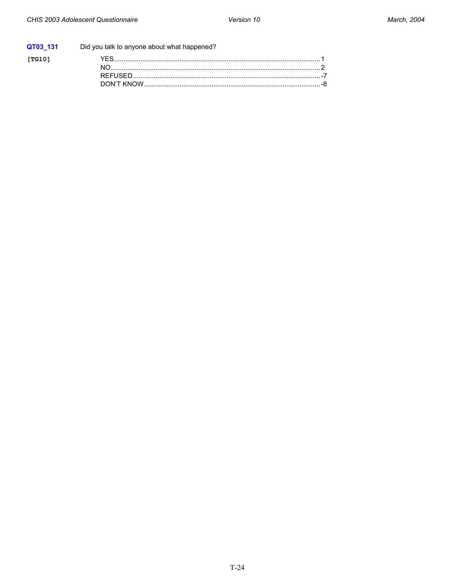|        | QT03 131 Did you talk to anyone about what happened? |  |
|--------|------------------------------------------------------|--|
| [TG10] |                                                      |  |
|        |                                                      |  |
|        |                                                      |  |
|        |                                                      |  |
|        |                                                      |  |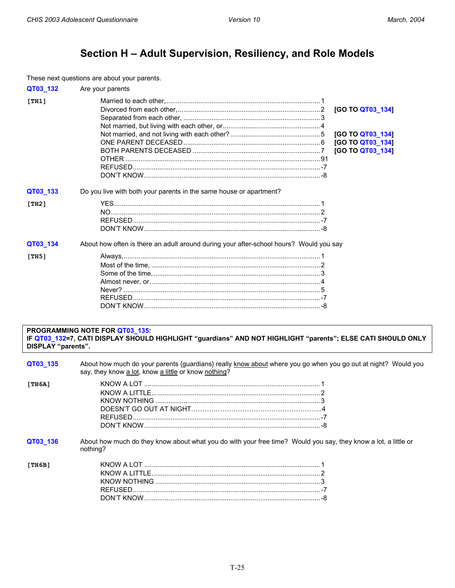## Section H - Adult Supervision, Resiliency, and Role Models

<span id="page-27-0"></span>These next questions are about your parents.

|                    | These now quodients are about                                                                                                                 |                  |
|--------------------|-----------------------------------------------------------------------------------------------------------------------------------------------|------------------|
| QT03_132           | Are your parents                                                                                                                              |                  |
| [TH1]              |                                                                                                                                               |                  |
|                    |                                                                                                                                               | [GO TO QT03_134] |
|                    |                                                                                                                                               |                  |
|                    |                                                                                                                                               |                  |
|                    |                                                                                                                                               | [GO TO QT03_134] |
|                    |                                                                                                                                               | [GO TO QT03_134] |
|                    |                                                                                                                                               | [GO TO QT03_134] |
|                    |                                                                                                                                               |                  |
|                    |                                                                                                                                               |                  |
|                    |                                                                                                                                               |                  |
|                    |                                                                                                                                               |                  |
| QT03_133           | Do you live with both your parents in the same house or apartment?                                                                            |                  |
| [TH2]              |                                                                                                                                               |                  |
|                    |                                                                                                                                               |                  |
|                    |                                                                                                                                               |                  |
|                    |                                                                                                                                               |                  |
|                    | About how often is there an adult around during your after-school hours? Would you say                                                        |                  |
| QT03_134           |                                                                                                                                               |                  |
| [TH5]              |                                                                                                                                               |                  |
|                    |                                                                                                                                               |                  |
|                    |                                                                                                                                               |                  |
|                    |                                                                                                                                               |                  |
|                    |                                                                                                                                               |                  |
|                    |                                                                                                                                               |                  |
|                    |                                                                                                                                               |                  |
| DISPLAY "parents". | PROGRAMMING NOTE FOR QT03_135:<br>IF QT03_132=7, CATI DISPLAY SHOULD HIGHLIGHT "guardians" AND NOT HIGHLIGHT "parents"; ELSE CATI SHOULD ONLY |                  |
| QT03_135           | About how much do your parents {guardians} really know about where you go when you go out at night? Would you                                 |                  |
|                    | say, they know a lot, know a little or know nothing?                                                                                          |                  |
| [TH6A]             |                                                                                                                                               |                  |
|                    |                                                                                                                                               |                  |
|                    |                                                                                                                                               |                  |
|                    |                                                                                                                                               |                  |
|                    |                                                                                                                                               |                  |
|                    |                                                                                                                                               |                  |
| QT03_136           | About how much do they know about what you do with your free time? Would you say, they know a lot, a little or<br>nothing?                    |                  |
| [TH6B]             |                                                                                                                                               |                  |
|                    |                                                                                                                                               |                  |
|                    |                                                                                                                                               |                  |
|                    |                                                                                                                                               |                  |
|                    |                                                                                                                                               |                  |
|                    |                                                                                                                                               |                  |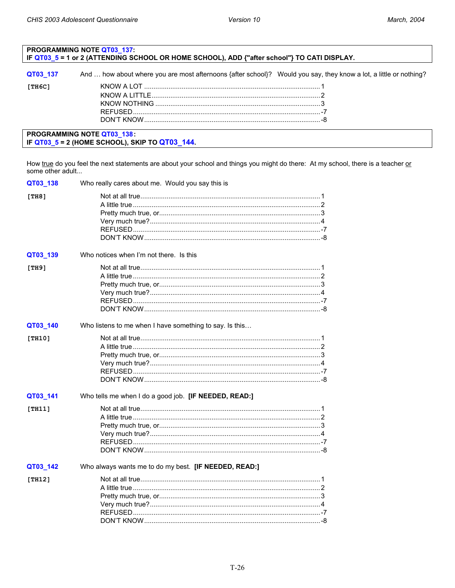<span id="page-28-0"></span>

| PROGRAMMING NOTE QT03_137:<br>IF QT03_5 = 1 or 2 (ATTENDING SCHOOL OR HOME SCHOOL), ADD {"after school"} TO CATI DISPLAY. |                                                                                                                   |  |
|---------------------------------------------------------------------------------------------------------------------------|-------------------------------------------------------------------------------------------------------------------|--|
| QT03 137                                                                                                                  | And  how about where you are most afternoons {after school}? Would you say, they know a lot, a little or nothing? |  |
| [TH6C]                                                                                                                    |                                                                                                                   |  |
| <b>PROGRAMMING NOTE QT03_138:</b><br>IF $QTO3_5 = 2$ (HOME SCHOOL), SKIP TO $QTO3_144$ .                                  |                                                                                                                   |  |

How true do you feel the next statements are about your school and things you might do there: At my school, there is a teacher or some other adult...

| QT03_138 | Who really cares about me. Would you say this is        |
|----------|---------------------------------------------------------|
| [TH8]    |                                                         |
| QT03_139 | Who notices when I'm not there. Is this                 |
| [TH9]    |                                                         |
| QT03_140 | Who listens to me when I have something to say. Is this |
| [TH10]   |                                                         |
| QT03_141 | Who tells me when I do a good job. [IF NEEDED, READ:]   |
| [TH11]   |                                                         |
| QT03_142 | Who always wants me to do my best. [IF NEEDED, READ:]   |
| [TH12]   |                                                         |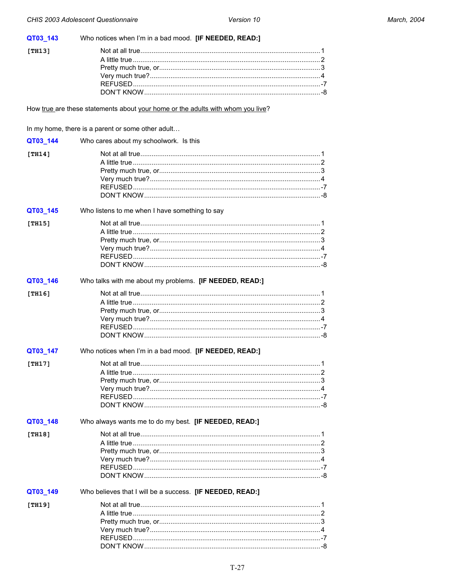<span id="page-29-0"></span>

| QT03_143 | Who notices when I'm in a bad mood. [IF NEEDED, READ:]                          |  |
|----------|---------------------------------------------------------------------------------|--|
| [TH13]   |                                                                                 |  |
|          |                                                                                 |  |
|          |                                                                                 |  |
|          |                                                                                 |  |
|          |                                                                                 |  |
|          |                                                                                 |  |
|          | How true are these statements about your home or the adults with whom you live? |  |
|          | In my home, there is a parent or some other adult                               |  |
| QT03_144 | Who cares about my schoolwork. Is this                                          |  |
| [TH14]   |                                                                                 |  |
|          |                                                                                 |  |
|          |                                                                                 |  |
|          |                                                                                 |  |
|          |                                                                                 |  |
|          |                                                                                 |  |
| QT03_145 | Who listens to me when I have something to say                                  |  |
| [TH15]   |                                                                                 |  |
|          |                                                                                 |  |
|          |                                                                                 |  |
|          |                                                                                 |  |
|          |                                                                                 |  |
|          |                                                                                 |  |
| QT03_146 | Who talks with me about my problems. [IF NEEDED, READ:]                         |  |
| [TH16]   |                                                                                 |  |
|          |                                                                                 |  |
|          |                                                                                 |  |
|          |                                                                                 |  |
|          |                                                                                 |  |
|          |                                                                                 |  |
| QT03_147 | Who notices when I'm in a bad mood. [IF NEEDED, READ:]                          |  |
| [TH17]   |                                                                                 |  |
|          |                                                                                 |  |
|          |                                                                                 |  |
|          |                                                                                 |  |
|          |                                                                                 |  |
|          |                                                                                 |  |
| QT03_148 | Who always wants me to do my best. [IF NEEDED, READ:]                           |  |
| [TH18]   |                                                                                 |  |
|          |                                                                                 |  |
|          |                                                                                 |  |
|          |                                                                                 |  |
|          |                                                                                 |  |
|          |                                                                                 |  |
| QT03_149 | Who believes that I will be a success. [IF NEEDED, READ:]                       |  |
| [TH19]   |                                                                                 |  |
|          |                                                                                 |  |
|          |                                                                                 |  |
|          |                                                                                 |  |
|          |                                                                                 |  |
|          |                                                                                 |  |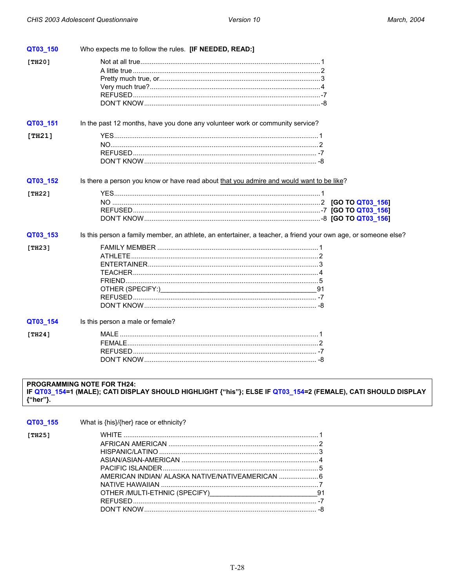<span id="page-30-0"></span>

| QT03 150 | Who expects me to follow the rules. [IF NEEDED, READ:]                                                         |
|----------|----------------------------------------------------------------------------------------------------------------|
| [TH20]   |                                                                                                                |
| QT03_151 | In the past 12 months, have you done any volunteer work or community service?                                  |
| [TH21]   |                                                                                                                |
| QT03_152 | Is there a person you know or have read about that you admire and would want to be like?                       |
| [TH22]   |                                                                                                                |
| QT03_153 | Is this person a family member, an athlete, an entertainer, a teacher, a friend your own age, or someone else? |
| [TH23]   | OTHER (SPECIFY:) 31                                                                                            |
| QT03_154 | Is this person a male or female?                                                                               |
| [TH24]   |                                                                                                                |

#### PROGRAMMING NOTE FOR TH24: IF QT03\_154=1 (MALE); CATI DISPLAY SHOULD HIGHLIGHT {"his"}; ELSE IF QT03\_154=2 (FEMALE), CATI SHOULD DISPLAY {"her"}.

| QT03 155 | What is {his}/{her} race or ethnicity?                                               |  |
|----------|--------------------------------------------------------------------------------------|--|
| [TH25]   | AMERICAN INDIAN/ ALASKA NATIVE/NATIVEAMERICAN  6<br>OTHER /MULTI-ETHNIC (SPECIFY) 41 |  |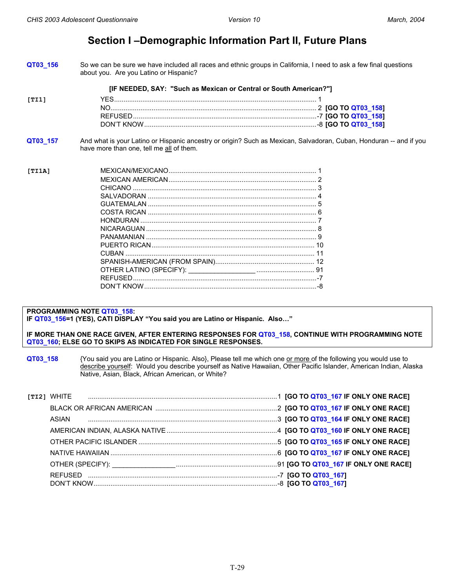### **Section I –Demographic Information Part II, Future Plans**

<span id="page-31-0"></span>**QT03\_156** So we can be sure we have included all races and ethnic groups in California, I need to ask a few final questions about you. Are you Latino or Hispanic?

**[IF NEEDED, SAY: "Such as Mexican or Central or South American?"]** 

| [TI1] |          |  |  |  |
|-------|----------|--|--|--|
|       |          |  |  |  |
|       | REFUSED. |  |  |  |
|       |          |  |  |  |

**QT03 157** And what is your Latino or Hispanic ancestry or origin? Such as Mexican, Salvadoran, Cuban, Honduran -- and if you have more than one, tell me all of them.

**[TI1A]** MEXICAN/MEXICANO............................................................................... 1 MEXICAN AMERICAN............................................................................... 2 CHICANO .................................................................................................. 3 SALVADORAN .......................................................................................... 4 GUATEMALAN .......................................................................................... 5 COSTA RICAN .......................................................................................... 6 HONDURAN .............................................................................................. 7 NICARAGUAN ........................................................................................... 8 PANAMANIAN ........................................................................................... 9 PUERTO RICAN....................................................................................... 10 CUBAN ..................................................................................................... 11 SPANISH-AMERICAN (FROM SPAIN)..................................................... 12 OTHER LATINO (SPECIFY): \_\_\_\_\_\_\_\_\_\_\_\_\_\_\_\_\_\_ ............................... 91 REFUSED..................................................................................................-7 DON'T KNOW............................................................................................-8

#### **PROGRAMMING NOTE QT03\_158:**

**IF QT03\_156=1 (YES), CATI DISPLAY "You said you are Latino or Hispanic. Also…"**

#### **IF MORE THAN ONE RACE GIVEN, AFTER ENTERING RESPONSES FOR QT03\_158, CONTINUE WITH PROGRAMMING NOTE QT03\_160; ELSE GO TO SKIPS AS INDICATED FOR SINGLE RESPONSES.**

**QT03\_158** {You said you are Latino or Hispanic. Also}, Please tell me which one or more of the following you would use to describe yourself: Would you describe yourself as Native Hawaiian, Other Pacific Islander, American Indian, Alaska Native, Asian, Black, African American, or White?

| <b>TTI21 WHITE</b>                                                                                         |  |
|------------------------------------------------------------------------------------------------------------|--|
|                                                                                                            |  |
| ASIAN                                                                                                      |  |
|                                                                                                            |  |
|                                                                                                            |  |
|                                                                                                            |  |
| OTHER (SPECIFY): <b>A COLORET A CONSUMING THE SECOND TEAM</b> OF <b>COLORET ACCE</b> 167 IF ONLY ONE RACE] |  |
|                                                                                                            |  |
|                                                                                                            |  |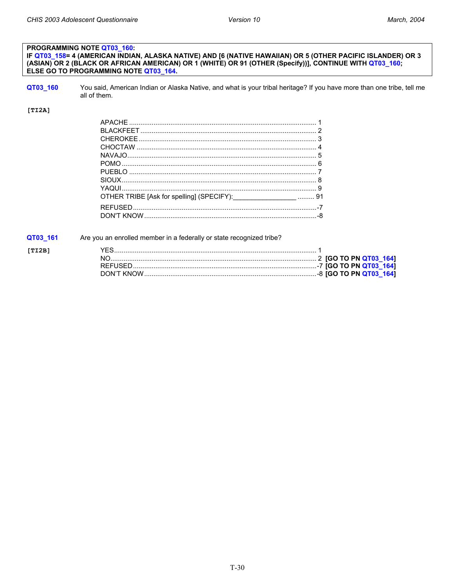#### PROGRAMMING NOTE QT03\_160: IF QT03\_158= 4 (AMERICAN INDIAN, ALASKA NATIVE) AND [6 (NATIVE HAWAIIAN) OR 5 (OTHER PACIFIC ISLANDER) OR 3 (ASIAN) OR 2 (BLACK OR AFRICAN AMERICAN) OR 1 (WHITE) OR 91 (OTHER (Specify))], CONTINUE WITH QT03\_160; ELSE GO TO PROGRAMMING NOTE QT03\_164.

- QT03\_160
- You said, American Indian or Alaska Native, and what is your tribal heritage? If you have more than one tribe, tell me all of them.

#### $[TI2A]$

 $[TI2B]$ 

| OTHER TRIBE [Ask for spelling] (SPECIFY): ________________________ 91 |  |
|-----------------------------------------------------------------------|--|
|                                                                       |  |
|                                                                       |  |

QT03\_161 Are you an enrolled member in a federally or state recognized tribe?

| DON'T KNOW |  |
|------------|--|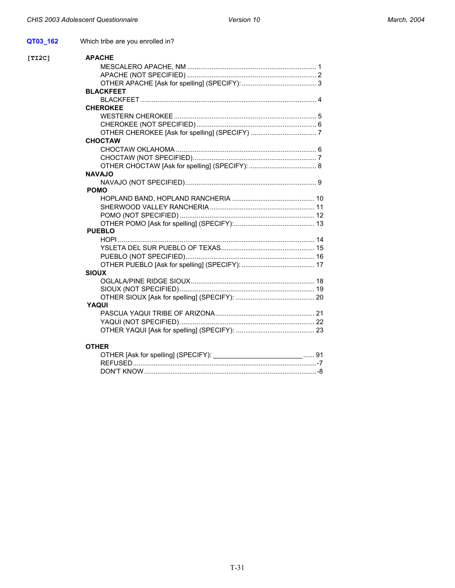$[TI2C]$ 

**QT03\_162** Which tribe are you enrolled in?

| [TI2C] | <b>APACHE</b>                       |    |
|--------|-------------------------------------|----|
|        |                                     |    |
|        |                                     |    |
|        |                                     |    |
|        | <b>BLACKFEET</b>                    |    |
|        |                                     |    |
|        | <b>CHEROKEE</b>                     |    |
|        |                                     |    |
|        |                                     |    |
|        |                                     |    |
|        | <b>CHOCTAW</b>                      |    |
|        |                                     |    |
|        |                                     |    |
|        |                                     |    |
|        | <b>NAVAJO</b>                       |    |
|        |                                     |    |
|        | <b>POMO</b>                         |    |
|        |                                     |    |
|        |                                     |    |
|        |                                     |    |
|        |                                     |    |
|        | <b>PUEBLO</b>                       |    |
|        |                                     |    |
|        |                                     |    |
|        |                                     |    |
|        |                                     |    |
|        | <b>SIOUX</b>                        |    |
|        |                                     |    |
|        |                                     |    |
|        |                                     |    |
|        | YAQUI                               |    |
|        |                                     |    |
|        |                                     |    |
|        |                                     |    |
|        | <b>OTHER</b>                        |    |
|        | OTHER [Ask for spelling] (SPECIFY): | 91 |

REFUSED..................................................................................................-7

DON'T KNOW............................................................................................-8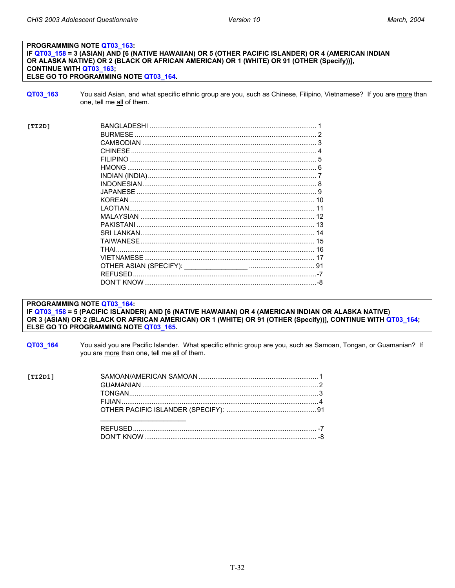#### PROGRAMMING NOTE QT03 163: IF QT03\_158 = 3 (ASIAN) AND [6 (NATIVE HAWAIIAN) OR 5 (OTHER PACIFIC ISLANDER) OR 4 (AMERICAN INDIAN OR ALASKA NATIVE) OR 2 (BLACK OR AFRICAN AMERICAN) OR 1 (WHITE) OR 91 (OTHER (Specify))], **CONTINUE WITH QT03\_163;** ELSE GO TO PROGRAMMING NOTE QT03\_164.

QT03\_163 You said Asian, and what specific ethnic group are you, such as Chinese, Filipino, Vietnamese? If you are more than one, tell me all of them.

| [TI2D] | <b>BANGLADESHI</b> |  |
|--------|--------------------|--|
|        | <b>BURMESE</b>     |  |
|        | CAMBODIAN          |  |
|        | <b>CHINESE</b>     |  |
|        | FII IPINO          |  |
|        | <b>HMONG</b>       |  |
|        |                    |  |
|        |                    |  |
|        | JAPANESE.          |  |
|        | <b>KOREAN</b>      |  |
|        | I AOTIAN.          |  |
|        |                    |  |
|        | <b>PAKISTANI</b>   |  |
|        | SRI I ANKAN        |  |
|        | <b>TAIWANFSF</b>   |  |
|        | THAI               |  |
|        |                    |  |
|        |                    |  |
|        |                    |  |
|        |                    |  |

PROGRAMMING NOTE QT03 164:

IF QT03\_158 = 5 (PACIFIC ISLANDER) AND [6 (NATIVE HAWAIIAN) OR 4 (AMERICAN INDIAN OR ALASKA NATIVE) OR 3 (ASIAN) OR 2 (BLACK OR AFRICAN AMERICAN) OR 1 (WHITE) OR 91 (OTHER (Specify))], CONTINUE WITH QT03\_164; ELSE GO TO PROGRAMMING NOTE QT03\_165.

QT03\_164 You said you are Pacific Islander. What specific ethnic group are you, such as Samoan, Tongan, or Guamanian? If you are more than one, tell me all of them.

| [TI2D1] |  |
|---------|--|
|         |  |
|         |  |
|         |  |
|         |  |
|         |  |
|         |  |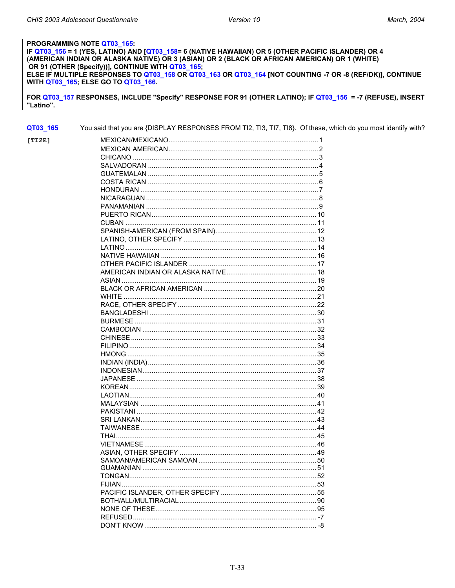#### PROGRAMMING NOTE QT03\_165:

IF QT03\_156 = 1 (YES, LATINO) AND [QT03\_158= 6 (NATIVE HAWAIIAN) OR 5 (OTHER PACIFIC ISLANDER) OR 4 (AMERICAN INDIAN OR ALASKA NATIVE) OR 3 (ASIAN) OR 2 (BLACK OR AFRICAN AMERICAN) OR 1 (WHITE) OR 91 (OTHER (Specify))], CONTINUE WITH QT03\_165; ELSE IF MULTIPLE RESPONSES TO QT03\_158 OR QT03\_163 OR QT03\_164 [NOT COUNTING -7 OR -8 (REF/DK)], CONTINUE WITH QT03\_165; ELSE GO TO QT03\_166.

FOR QT03\_157 RESPONSES, INCLUDE "Specify" RESPONSE FOR 91 (OTHER LATINO); IF QT03\_156 = -7 (REFUSE), INSERT "Latino".

QT03\_165 You said that you are {DISPLAY RESPONSES FROM TI2, TI3, TI7, TI8}. Of these, which do you most identify with?

| [TI2E] |      |
|--------|------|
|        |      |
|        |      |
|        |      |
|        |      |
|        |      |
|        |      |
|        |      |
|        |      |
|        |      |
|        |      |
|        |      |
|        |      |
|        |      |
|        |      |
|        |      |
|        |      |
|        |      |
|        |      |
|        |      |
|        |      |
|        |      |
|        |      |
|        |      |
|        |      |
|        |      |
|        |      |
|        |      |
|        |      |
|        |      |
|        |      |
|        |      |
|        |      |
|        |      |
|        |      |
|        |      |
|        |      |
|        |      |
|        |      |
|        |      |
|        |      |
|        |      |
|        |      |
|        |      |
|        |      |
|        |      |
|        |      |
|        |      |
|        | $-8$ |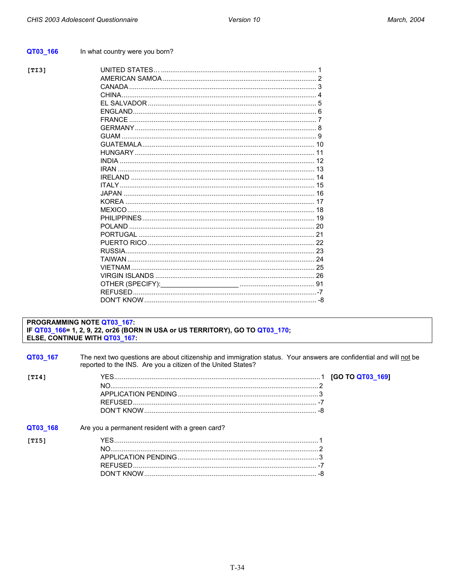#### <span id="page-36-0"></span>QT03\_166 In what country were you born?

 $[TI3]$ 

#### PROGRAMMING NOTE QT03\_167: IF QT03\_166= 1, 2, 9, 22, or26 (BORN IN USA or US TERRITORY), GO TO QT03\_170; ELSE, CONTINUE WITH QT03\_167:

| QT03 167 | The next two questions are about citizenship and immigration status. Your answers are confidential and will not be<br>reported to the INS. Are you a citizen of the United States? |  |
|----------|------------------------------------------------------------------------------------------------------------------------------------------------------------------------------------|--|
| [TI4]    |                                                                                                                                                                                    |  |
| QT03 168 | Are you a permanent resident with a green card?                                                                                                                                    |  |
| [TI5]    |                                                                                                                                                                                    |  |